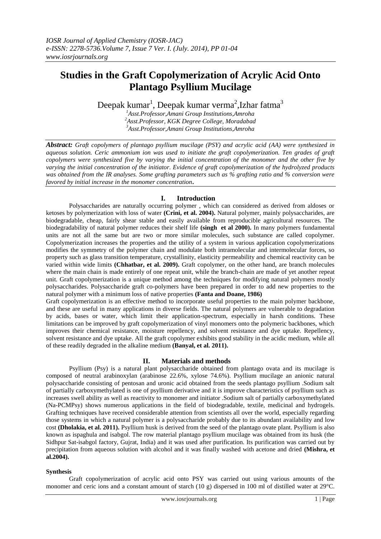# **Studies in the Graft Copolymerization of Acrylic Acid Onto Plantago Psyllium Mucilage**

Deepak kumar $^1$ , Deepak kumar verma $^2$ ,Izhar fatma $^3$ 

*<sup>1</sup>Asst.Professor,Amani Group Institutions,Amroha <sup>2</sup>Asst.Professor, KGK Degree College, Moradabad <sup>3</sup>Asst.Professor,Amani Group Institutions,Amroha*

*Abstract: Graft copolymers of plantago psyllium mucilage (PSY) and acrylic acid (AA) were synthesized in aqueous solution. Ceric ammonium ion was used to initiate the graft copolymerization. Ten grades of graft copolymers were synthesized five by varying the initial concentration of the monomer and the other five by varying the initial concentration of the initiator. Evidence of graft copolymerization of the hydrolyzed products was obtained from the IR analyses. Some grafting parameters such as % grafting ratio and % conversion were favored by initial increase in the monomer concentration***.**

# **I. Introduction**

Polysaccharides are naturally occurring polymer , which can considered as derived from aldoses or ketoses by polymerization with loss of water **(Crini, et al. 2004).** Natural polymer, mainly polysaccharides, are biodegradable, cheap, fairly shear stable and easily available from reproducible agricultural resources. The biodegradability of natural polymer reduces their shelf life **(singh et al 2000).** In many polymers fundamental units are not all the same but are two or more similar molecules, such substance are called copolymer. Copolymerization increases the properties and the utility of a system in various application copolymerizations modifies the symmetry of the polymer chain and modulate both intramolecular and intermolecular forces, so property such as glass transition temperature, crystallinity, elasticity permeability and chemical reactivity can be varied within wide limits **(Chhatbar, et al. 2009).** Graft copolymer, on the other hand, are branch molecules where the main chain is made entirely of one repeat unit, while the branch-chain are made of yet another repeat unit. Graft copolymerization is a unique method among the techniques for modifying natural polymers mostly polysaccharides. Polysaccharide graft co-polymers have been prepared in order to add new properties to the natural polymer with a minimum loss of native properties **(Fanta and Doane, 1986)**

Graft copolymerization is an effective method to incorporate useful properties to the main polymer backbone, and these are useful in many applications in diverse fields. The natural polymers are vulnerable to degradation by acids, bases or water, which limit their application-spectrum, especially in harsh conditions. These limitations can be improved by graft copolymerization of vinyl monomers onto the polymeric backbones, which improves their chemical resistance, moisture repellency, and solvent resistance and dye uptake. Repellency, solvent resistance and dye uptake. All the graft copolymer exhibits good stability in the acidic medium, while all of these readily degraded in the alkaline medium **(Banyal, et al. 2011).**

# **II. Materials and methods**

Psyllium (Psy) is a natural plant polysaccharide obtained from plantago ovata and its mucilage is composed of neutral arabinoxylan (arabinose 22.6%, xylose 74.6%). Psyllium mucilage an anionic natural polysaccharide consisting of pentosan and uronic acid obtained from the seeds plantago psyllium .Sodium salt of partially carboxymethylated is one of psyllium derivative and it is improve characteristics of psyllium such as increases swell ability as well as reactivity to monomer and initiator .Sodium salt of partially carboxymethylated (Na-PCMPsy) shows numerous applications in the field of biodegradable, textile, medicinal and hydrogels. Grafting techniques have received considerable attention from scientists all over the world, especially regarding those systems in which a natural polymer is a polysaccharide probably due to its abundant availability and low cost **(Dholakia, et al. 2011).** Psyllium husk is derived from the seed of the plantago ovate plant. Psyllium is also known as ispaghula and isabgol. The row material plantago psyllium mucilage was obtained from its husk (the Sidhpur Sat-isabgol factory, Gujrat, India) and it was used after purification. Its purification was carried out by precipitation from aqueous solution with alcohol and it was finally washed with acetone and dried **(Mishra, et al.2004).**

# **Synthesis**

Graft copolymerization of acrylic acid onto PSY was carried out using various amounts of the monomer and ceric ions and a constant amount of starch (10 g) dispersed in 100 ml of distilled water at 29°C.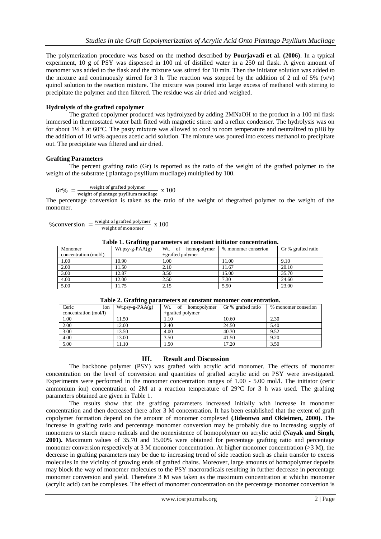The polymerization procedure was based on the method described by **Pourjavadi et al. (2006)**. In a typical experiment, 10 g of PSY was dispersed in 100 ml of distilled water in a 250 ml flask. A given amount of monomer was added to the flask and the mixture was stirred for 10 min. Then the initiator solution was added to the mixture and continuously stirred for 3 h. The reaction was stopped by the addition of 2 ml of 5% (w/v) quinol solution to the reaction mixture. The mixture was poured into large excess of methanol with stirring to precipitate the polymer and then filtered. The residue was air dried and weighed.

### **Hydrolysis of the grafted copolymer**

The grafted copolymer produced was hydrolyzed by adding 2MNaOH to the product in a 100 ml flask immersed in thermostated water bath fitted with magnetic stirrer and a reflux condenser. The hydrolysis was on for about 1½ h at 60°C. The pasty mixture was allowed to cool to room temperature and neutralized to pH8 by the addition of 10 wt% aqueous acetic acid solution. The mixture was poured into excess methanol to precipitate out. The precipitate was filtered and air dried.

### **Grafting Parameters**

The percent grafting ratio (Gr) is reported as the ratio of the weight of the grafted polymer to the weight of the substrate ( plantago psyllium mucilage) multiplied by  $100$ .

```
W
```
weight of plantage polymer x 100

The percentage conversion is taken as the ratio of the weight of thegrafted polymer to the weight of the monomer.

$$
\%conversion = \frac{weight \ of grafted \ polymer}{weight \ of \ monomer} \ x \ 100
$$

| Table 1. Oraring parameters at constant initiator concentration. |                  |                          |                     |                    |  |  |
|------------------------------------------------------------------|------------------|--------------------------|---------------------|--------------------|--|--|
| Monomer                                                          | $Wt.py-g-PAA(g)$ | Wt.<br>of<br>homopolymer | % monomer conserion | Gr % grafted ratio |  |  |
| concentration (mol/l)                                            |                  | $+$ grafted polymer      |                     |                    |  |  |
| 1.00                                                             | 10.90            | 1.00                     | 1.00                | 9.10               |  |  |
| 2.00                                                             | 1.50             | 2.10                     | 11.67               | 20.10              |  |  |
| 3.00                                                             | 12.87            | 3.50                     | 15.00               | 35.70              |  |  |
| 4.00                                                             | 12.00            | 2.50                     | 7.30                | 24.60              |  |  |
| 5.00                                                             | 1.75             | 2.15                     | 5.50                | 23.00              |  |  |

**Table 1. Grafting parameters at constant initiator concentration.**

| Table 2. Oraning parameters at constant monomer concentration. |                  |                       |                    |                     |  |  |
|----------------------------------------------------------------|------------------|-----------------------|--------------------|---------------------|--|--|
| Ceric<br>ion                                                   | $Wt.py-g-PAA(g)$ | Wt. of<br>homopolymer | Gr % grafted ratio | % monomer conserion |  |  |
| concentration (mol/l)                                          |                  | $+$ grafted polymer   |                    |                     |  |  |
| 1.00                                                           | 11.50            | 1.10                  | 10.60              | 2.30                |  |  |
| 2.00                                                           | 12.00            | 2.40                  | 24.50              | 5.40                |  |  |
| 3.00                                                           | 13.50            | 4.00                  | 40.30              | 9.52                |  |  |
| 4.00                                                           | 13.00            | 3.50                  | 41.50              | 9.20                |  |  |
| 5.00                                                           | 11.10            | l.50                  | 17.20              | 3.50                |  |  |
|                                                                |                  |                       |                    |                     |  |  |

# **Table 2. Grafting parameters at constant monomer concentration.**

### **III. Result and Discussion**

The backbone polymer (PSY) was grafted with acrylic acid monomer. The effects of monomer concentration on the level of conversion and quantities of grafted acrylic acid on PSY were investigated. Experiments were performed in the monomer concentration ranges of 1.00 - 5.00 mol/l. The initiator (ceric ammonium ion) concentration of 2M at a reaction temperature of 29°C for 3 h was used. The grafting parameters obtained are given in Table 1.

The results show that the grafting parameters increased initially with increase in monomer concentration and then decreased there after 3 M concentration. It has been established that the extent of graft copolymer formation depend on the amount of monomer complexed **(Jideonwo and Okieimen, 2000).** The increase in grafting ratio and percentage monomer conversion may be probably due to increasing supply of monomers to starch macro radicals and the nonexistence of homopolymer on acrylic acid **(Nayak and Singh, 2001).** Maximum values of 35.70 and 15.00% were obtained for percentage grafting ratio and percentage monomer conversion respectively at 3 M monomer concentration. At higher monomer concentration (>3 M), the decrease in grafting parameters may be due to increasing trend of side reaction such as chain transfer to excess molecules in the vicinity of growing ends of grafted chains. Moreover, large amounts of homopolymer deposits may block the way of monomer molecules to the PSY macroradicals resulting in further decrease in percentage monomer conversion and yield. Therefore 3 M was taken as the maximum concentration at whichn monomer (acrylic acid) can be complexes. The effect of monomer concentration on the percentage monomer conversion is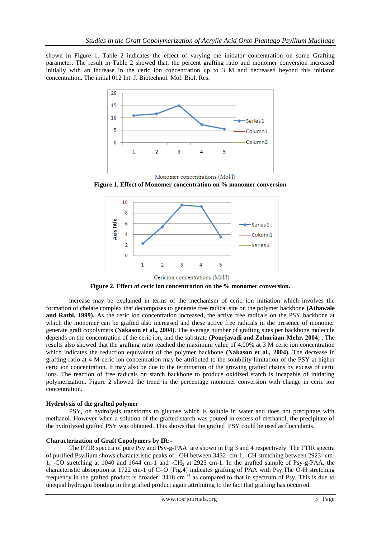shown in Figure 1. Table 2 indicates the effect of varying the initiator concentration on some Grafting parameter. The result in Table 2 showed that, the percent grafting ratio and monomer conversion increased initially with an increase in the ceric ion concentration up to 3 M and decreased beyond this initiator concentration. The initial 012 Int. J. Biotechnol. Mol. Biol. Res.



**Figure 1. Effect of Monomer concentration on % monomer conversion**



**Figure 2. Effect of ceric ion concentration on the % monomer conversion.**

increase may be explained in terms of the mechanism of ceric ion initiation which involves the formation of chelate complex that decomposes to generate free radical site on the polymer backbone **(Athawale and Rathi, 1999).** As the ceric ion concentration increased, the active free radicals on the PSY backbone at which the monomer can be grafted also increased and these active free radicals in the presence of monomer generate graft copolymers **(Nakason et al., 2004).** The average number of grafting sites per backbone molecule depends on the concentration of the ceric ion, and the substrate **(Pourjavadi and Zohuriaan-Mehr, 2004;** . The results also showed that the grafting ratio reached the maximum value of 4.00% at 3 M ceric ion concentration which indicates the reduction equivalent of the polymer backbone **(Nakason et al., 2004).** The decrease in grafting ratio at 4 M ceric ion concentration may be attributed to the solubility limitation of the PSY at higher ceric ion concentration. It may also be due to the termination of the growing grafted chains by excess of ceric ions. The reaction of free radicals on starch backbone to produce oxidized starch is incapable of initiating polymerization. Figure 2 showed the trend in the percentage monomer conversion with change in ceric ion concentration.

### **Hydrolysis of the grafted polymer**

PSY, on hydrolysis transforms to glucose which is soluble in water and does not precipitate with methanol. However when a solution of the grafted starch was poured in excess of methanol, the precipitate of the hydrolyzed grafted PSY was obtained. This shows that the grafted PSY could be used as flocculants.

### **Characterization of Graft Copolymers by IR:-**

The FTIR spectra of pure Psy and Psy-g-PAA are shown in Fig 3 and 4 respectively. The FTIR spectra of purified Psyllium shows characteristic peaks of –OH between 3432 cm-1, -CH stretching between 2923- cm-1, -CO stretching at 1040 and 1644 cm-1 and -CH<sup>3</sup> at 2923 cm-1. In the grafted sample of Psy-g-PAA, the characteristic absorption at 1722 cm-1 of C=O [Fig.4] indicates grafting of PAA with Psy.The O-H stretching frequency in the grafted product is broader 3418 cm<sup>-1</sup> as compared to that in spectrum of Psy. This is due to unequal hydrogen bonding in the grafted product again attributing to the fact that grafting has occurred.